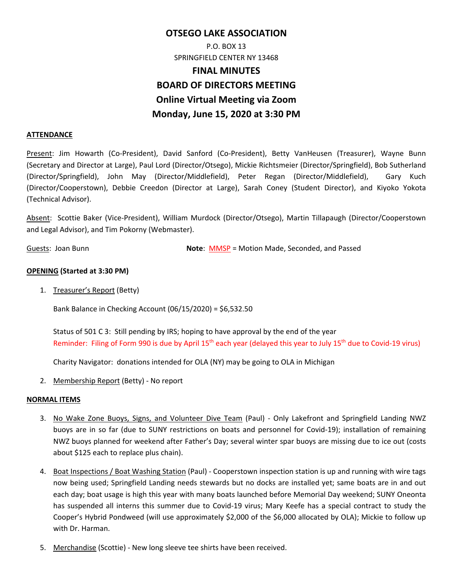# **OTSEGO LAKE ASSOCIATION**  P.O. BOX 13 SPRINGFIELD CENTER NY 13468 **FINAL MINUTES BOARD OF DIRECTORS MEETING Online Virtual Meeting via Zoom Monday, June 15, 2020 at 3:30 PM**

### **ATTENDANCE**

Present: Jim Howarth (Co‐President), David Sanford (Co‐President), Betty VanHeusen (Treasurer), Wayne Bunn (Secretary and Director at Large), Paul Lord (Director/Otsego), Mickie Richtsmeier (Director/Springfield), Bob Sutherland (Director/Springfield), John May (Director/Middlefield), Peter Regan (Director/Middlefield), Gary Kuch (Director/Cooperstown), Debbie Creedon (Director at Large), Sarah Coney (Student Director), and Kiyoko Yokota (Technical Advisor).

Absent: Scottie Baker (Vice‐President), William Murdock (Director/Otsego), Martin Tillapaugh (Director/Cooperstown and Legal Advisor), and Tim Pokorny (Webmaster).

Guests: Joan Bunn **Note**: MMSP = Motion Made, Seconded, and Passed

## **OPENING (Started at 3:30 PM)**

1. Treasurer's Report (Betty)

Bank Balance in Checking Account (06/15/2020) = \$6,532.50

Status of 501 C 3: Still pending by IRS; hoping to have approval by the end of the year Reminder: Filing of Form 990 is due by April 15<sup>th</sup> each year (delayed this year to July 15<sup>th</sup> due to Covid-19 virus)

Charity Navigator: donations intended for OLA (NY) may be going to OLA in Michigan

2. Membership Report (Betty) - No report

#### **NORMAL ITEMS**

- 3. No Wake Zone Buoys, Signs, and Volunteer Dive Team (Paul) Only Lakefront and Springfield Landing NWZ buoys are in so far (due to SUNY restrictions on boats and personnel for Covid‐19); installation of remaining NWZ buoys planned for weekend after Father's Day; several winter spar buoys are missing due to ice out (costs about \$125 each to replace plus chain).
- 4. Boat Inspections / Boat Washing Station (Paul) Cooperstown inspection station is up and running with wire tags now being used; Springfield Landing needs stewards but no docks are installed yet; same boats are in and out each day; boat usage is high this year with many boats launched before Memorial Day weekend; SUNY Oneonta has suspended all interns this summer due to Covid-19 virus; Mary Keefe has a special contract to study the Cooper's Hybrid Pondweed (will use approximately \$2,000 of the \$6,000 allocated by OLA); Mickie to follow up with Dr. Harman.
- 5. Merchandise (Scottie) ‐ New long sleeve tee shirts have been received.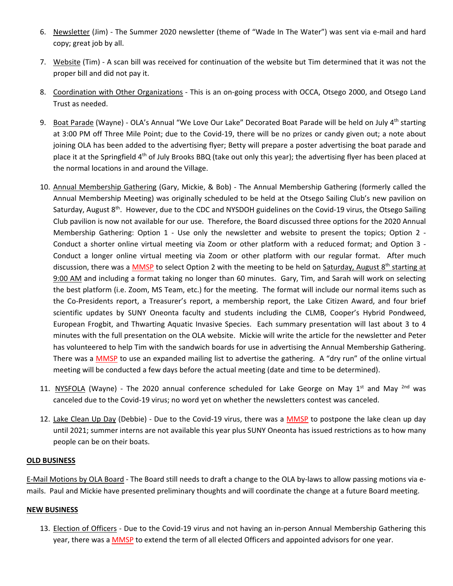- 6. Newsletter (Jim) The Summer 2020 newsletter (theme of "Wade In The Water") was sent via e-mail and hard copy; great job by all.
- 7. Website (Tim) ‐ A scan bill was received for continuation of the website but Tim determined that it was not the proper bill and did not pay it.
- 8. Coordination with Other Organizations This is an on-going process with OCCA, Otsego 2000, and Otsego Land Trust as needed.
- 9. Boat Parade (Wayne) OLA's Annual "We Love Our Lake" Decorated Boat Parade will be held on July  $4^{th}$  starting at 3:00 PM off Three Mile Point; due to the Covid-19, there will be no prizes or candy given out; a note about joining OLA has been added to the advertising flyer; Betty will prepare a poster advertising the boat parade and place it at the Springfield  $4<sup>th</sup>$  of July Brooks BBQ (take out only this year); the advertising flyer has been placed at the normal locations in and around the Village.
- 10. Annual Membership Gathering (Gary, Mickie, & Bob) The Annual Membership Gathering (formerly called the Annual Membership Meeting) was originally scheduled to be held at the Otsego Sailing Club's new pavilion on Saturday, August 8<sup>th</sup>. However, due to the CDC and NYSDOH guidelines on the Covid-19 virus, the Otsego Sailing Club pavilion is now not available for our use. Therefore, the Board discussed three options for the 2020 Annual Membership Gathering: Option 1 - Use only the newsletter and website to present the topics; Option 2 -Conduct a shorter online virtual meeting via Zoom or other platform with a reduced format; and Option 3 -Conduct a longer online virtual meeting via Zoom or other platform with our regular format. After much discussion, there was a MMSP to select Option 2 with the meeting to be held on Saturday, August  $8^{th}$  starting at 9:00 AM and including a format taking no longer than 60 minutes. Gary, Tim, and Sarah will work on selecting the best platform (i.e. Zoom, MS Team, etc.) for the meeting. The format will include our normal items such as the Co-Presidents report, a Treasurer's report, a membership report, the Lake Citizen Award, and four brief scientific updates by SUNY Oneonta faculty and students including the CLMB, Cooper's Hybrid Pondweed, European Frogbit, and Thwarting Aquatic Invasive Species. Each summary presentation will last about 3 to 4 minutes with the full presentation on the OLA website. Mickie will write the article for the newsletter and Peter has volunteered to help Tim with the sandwich boards for use in advertising the Annual Membership Gathering. There was a MMSP to use an expanded mailing list to advertise the gathering. A "dry run" of the online virtual meeting will be conducted a few days before the actual meeting (date and time to be determined).
- 11. NYSFOLA (Wayne) The 2020 annual conference scheduled for Lake George on May  $1^{st}$  and May  $^{2nd}$  was canceled due to the Covid‐19 virus; no word yet on whether the newsletters contest was canceled.
- 12. Lake Clean Up Day (Debbie) Due to the Covid-19 virus, there was a MMSP to postpone the lake clean up day until 2021; summer interns are not available this year plus SUNY Oneonta has issued restrictions as to how many people can be on their boats.

## **OLD BUSINESS**

E‐Mail Motions by OLA Board ‐ The Board still needs to draft a change to the OLA by‐laws to allow passing motions via e‐ mails. Paul and Mickie have presented preliminary thoughts and will coordinate the change at a future Board meeting.

#### **NEW BUSINESS**

13. Election of Officers - Due to the Covid-19 virus and not having an in-person Annual Membership Gathering this year, there was a **MMSP** to extend the term of all elected Officers and appointed advisors for one year.